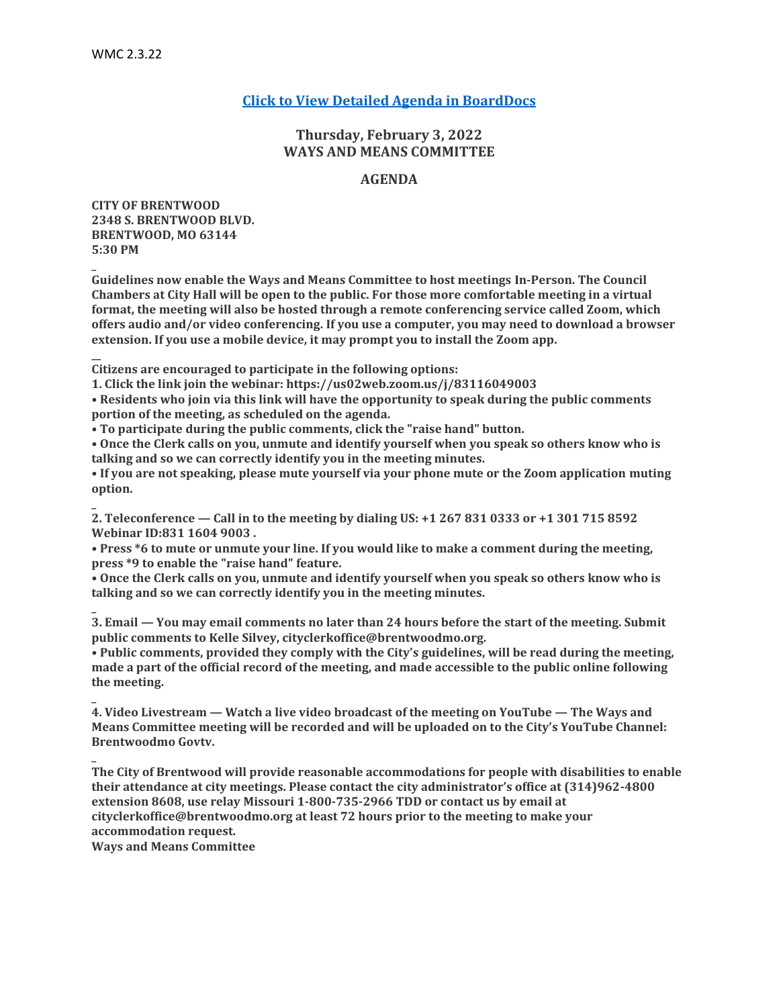**\_**

**\_**

**\_**

**\_**

**\_**

## **[Click to View Detailed Agenda in BoardDocs](http://go.boarddocs.com/mo/cob/Board.nsf/goto?open&id=C9HTJR722C37)**

## **Thursday, February 3, 2022 WAYS AND MEANS COMMITTEE**

### **AGENDA**

**CITY OF BRENTWOOD 2348 S. BRENTWOOD BLVD. BRENTWOOD, MO 63144 5:30 PM**

**Guidelines now enable the Ways and Means Committee to host meetings In-Person. The Council Chambers at City Hall will be open to the public. For those more comfortable meeting in a virtual format, the meeting will also be hosted through a remote conferencing service called Zoom, which offers audio and/or video conferencing. If you use a computer, you may need to download a browser extension. If you use a mobile device, it may prompt you to install the Zoom app.**

**\_\_ Citizens are encouraged to participate in the following options:**

**1. Click the link join the webinar: https://us02web.zoom.us/j/83116049003**

**• Residents who join via this link will have the opportunity to speak during the public comments portion of the meeting, as scheduled on the agenda.**

**• To participate during the public comments, click the "raise hand" button.**

**• Once the Clerk calls on you, unmute and identify yourself when you speak so others know who is talking and so we can correctly identify you in the meeting minutes.**

**• If you are not speaking, please mute yourself via your phone mute or the Zoom application muting option.**

**2. Teleconference — Call in to the meeting by dialing US: +1 267 831 0333 or +1 301 715 8592 Webinar ID:831 1604 9003 .**

**• Press \*6 to mute or unmute your line. If you would like to make a comment during the meeting, press \*9 to enable the "raise hand" feature.**

**• Once the Clerk calls on you, unmute and identify yourself when you speak so others know who is talking and so we can correctly identify you in the meeting minutes.**

**3. Email — You may email comments no later than 24 hours before the start of the meeting. Submit public comments to Kelle Silvey, cityclerkoffice@brentwoodmo.org.**

**• Public comments, provided they comply with the City's guidelines, will be read during the meeting, made a part of the official record of the meeting, and made accessible to the public online following the meeting.**

**4. Video Livestream — Watch a live video broadcast of the meeting on YouTube — The Ways and Means Committee meeting will be recorded and will be uploaded on to the City's YouTube Channel: Brentwoodmo Govtv.**

**The City of Brentwood will provide reasonable accommodations for people with disabilities to enable their attendance at city meetings. Please contact the city administrator's office at (314)962-4800 extension 8608, use relay Missouri 1-800-735-2966 TDD or contact us by email at cityclerkoffice@brentwoodmo.org at least 72 hours prior to the meeting to make your accommodation request.**

**Ways and Means Committee**